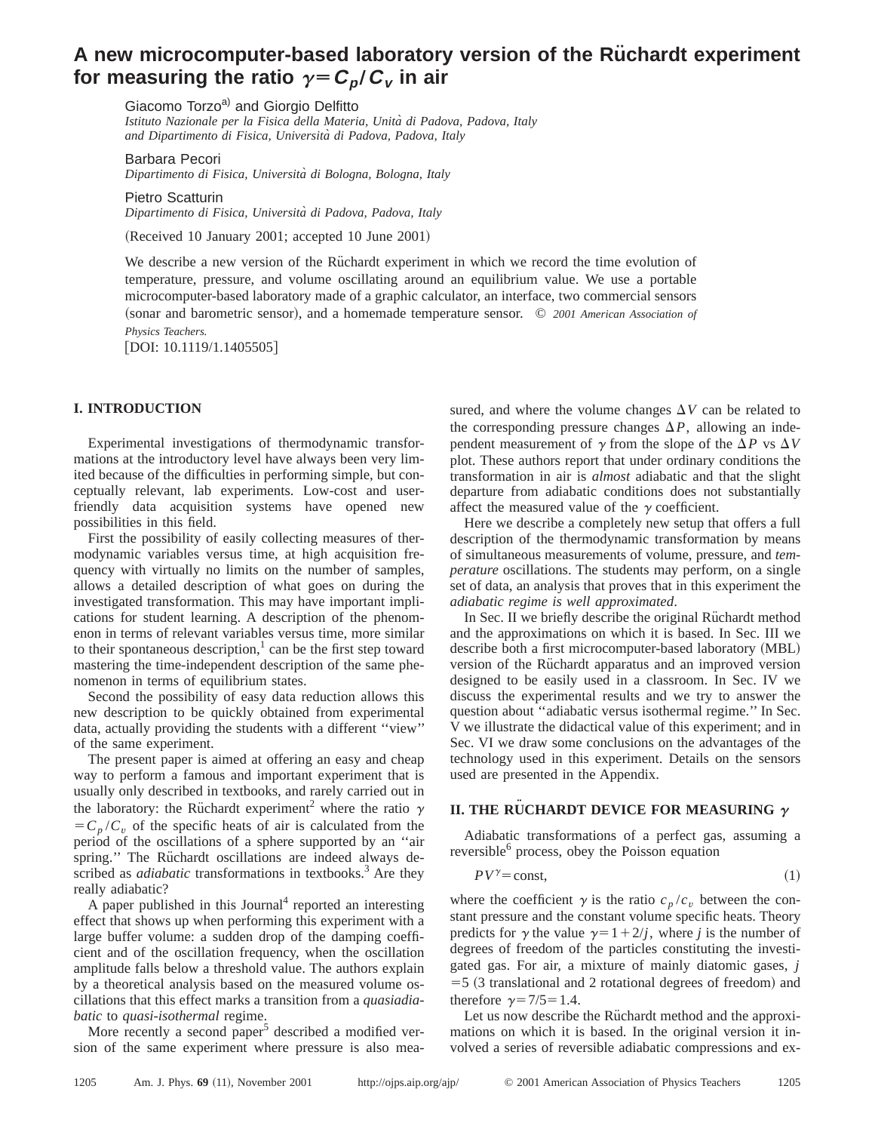# A new microcomputer-based laboratory version of the Rüchardt experiment **for measuring the ratio**  $\gamma = C_p/C_v$  in air

Giacomo Torzo<sup>a)</sup> and Giorgio Delfitto *Istituto Nazionale per la Fisica della Materia, Unita` di Padova, Padova, Italy and Dipartimento di Fisica, Universita` di Padova, Padova, Italy*

Barbara Pecori *Dipartimento di Fisica, Universita` di Bologna, Bologna, Italy*

Pietro Scatturin *Dipartimento di Fisica, Universita` di Padova, Padova, Italy*

 $(Received 10 January 2001; accepted 10 June 2001)$ 

We describe a new version of the Rüchardt experiment in which we record the time evolution of temperature, pressure, and volume oscillating around an equilibrium value. We use a portable microcomputer-based laboratory made of a graphic calculator, an interface, two commercial sensors (sonar and barometric sensor), and a homemade temperature sensor.  $\oslash$  *2001 American Association of Physics Teachers.*

 $[$ DOI: 10.1119/1.1405505 $]$ 

# **I. INTRODUCTION**

Experimental investigations of thermodynamic transformations at the introductory level have always been very limited because of the difficulties in performing simple, but conceptually relevant, lab experiments. Low-cost and userfriendly data acquisition systems have opened new possibilities in this field.

First the possibility of easily collecting measures of thermodynamic variables versus time, at high acquisition frequency with virtually no limits on the number of samples, allows a detailed description of what goes on during the investigated transformation. This may have important implications for student learning. A description of the phenomenon in terms of relevant variables versus time, more similar to their spontaneous description, $\frac{1}{1}$  can be the first step toward mastering the time-independent description of the same phenomenon in terms of equilibrium states.

Second the possibility of easy data reduction allows this new description to be quickly obtained from experimental data, actually providing the students with a different ''view'' of the same experiment.

The present paper is aimed at offering an easy and cheap way to perform a famous and important experiment that is usually only described in textbooks, and rarely carried out in the laboratory: the Rüchardt experiment<sup>2</sup> where the ratio  $\gamma$  $=C_p/C_v$  of the specific heats of air is calculated from the period of the oscillations of a sphere supported by an ''air spring." The Rüchardt oscillations are indeed always described as *adiabatic* transformations in textbooks.<sup>3</sup> Are they really adiabatic?

A paper published in this Journal<sup>4</sup> reported an interesting effect that shows up when performing this experiment with a large buffer volume: a sudden drop of the damping coefficient and of the oscillation frequency, when the oscillation amplitude falls below a threshold value. The authors explain by a theoretical analysis based on the measured volume oscillations that this effect marks a transition from a *quasiadiabatic* to *quasi-isothermal* regime.

More recently a second paper<sup>5</sup> described a modified version of the same experiment where pressure is also measured, and where the volume changes  $\Delta V$  can be related to the corresponding pressure changes  $\Delta P$ , allowing an independent measurement of  $\gamma$  from the slope of the  $\Delta P$  vs  $\Delta V$ plot. These authors report that under ordinary conditions the transformation in air is *almost* adiabatic and that the slight departure from adiabatic conditions does not substantially affect the measured value of the  $\gamma$  coefficient.

Here we describe a completely new setup that offers a full description of the thermodynamic transformation by means of simultaneous measurements of volume, pressure, and *temperature* oscillations. The students may perform, on a single set of data, an analysis that proves that in this experiment the *adiabatic regime is well approximated*.

In Sec. II we briefly describe the original Rüchardt method and the approximations on which it is based. In Sec. III we describe both a first microcomputer-based laboratory (MBL) version of the Rüchardt apparatus and an improved version designed to be easily used in a classroom. In Sec. IV we discuss the experimental results and we try to answer the question about ''adiabatic versus isothermal regime.'' In Sec. V we illustrate the didactical value of this experiment; and in Sec. VI we draw some conclusions on the advantages of the technology used in this experiment. Details on the sensors used are presented in the Appendix.

# **II. THE RÜCHARDT DEVICE FOR MEASURING**  $\gamma$

Adiabatic transformations of a perfect gas, assuming a reversible<sup>6</sup> process, obey the Poisson equation

$$
PV^{\gamma} = \text{const},\tag{1}
$$

where the coefficient  $\gamma$  is the ratio  $c_p/c_v$  between the constant pressure and the constant volume specific heats. Theory predicts for  $\gamma$  the value  $\gamma=1+2/j$ , where *j* is the number of degrees of freedom of the particles constituting the investigated gas. For air, a mixture of mainly diatomic gases, *j*  $=5$  (3 translational and 2 rotational degrees of freedom) and therefore  $\gamma = 7/5 = 1.4$ .

Let us now describe the Rüchardt method and the approximations on which it is based. In the original version it involved a series of reversible adiabatic compressions and ex-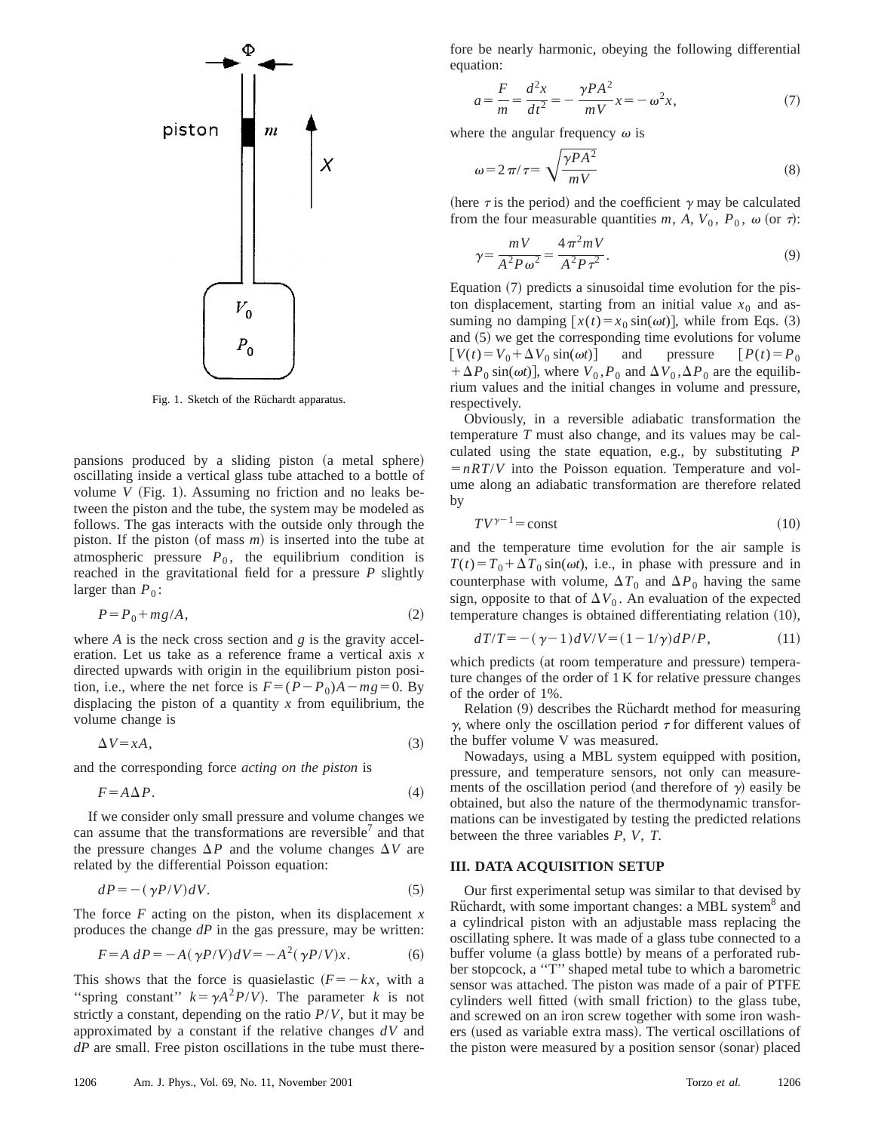

Fig. 1. Sketch of the Rüchardt apparatus.

pansions produced by a sliding piston (a metal sphere) oscillating inside a vertical glass tube attached to a bottle of volume  $V$  (Fig. 1). Assuming no friction and no leaks between the piston and the tube, the system may be modeled as follows. The gas interacts with the outside only through the piston. If the piston (of mass  $m$ ) is inserted into the tube at atmospheric pressure  $P_0$ , the equilibrium condition is reached in the gravitational field for a pressure *P* slightly larger than  $P_0$ :

$$
P = P_0 + mg/A,\tag{2}
$$

where *A* is the neck cross section and *g* is the gravity acceleration. Let us take as a reference frame a vertical axis *x* directed upwards with origin in the equilibrium piston position, i.e., where the net force is  $F = (P - P_0)A - mg = 0$ . By displacing the piston of a quantity *x* from equilibrium, the volume change is

$$
\Delta V = xA, \tag{3}
$$

and the corresponding force *acting on the piston* is

$$
F = A \Delta P. \tag{4}
$$

If we consider only small pressure and volume changes we can assume that the transformations are reversible $\ell$  and that the pressure changes  $\Delta P$  and the volume changes  $\Delta V$  are related by the differential Poisson equation:

$$
dP = -(\gamma P/V)dV.
$$
 (5)

The force *F* acting on the piston, when its displacement *x* produces the change *dP* in the gas pressure, may be written:

$$
F = A \, dP = -A(\gamma P/V) dV = -A^2(\gamma P/V)x. \tag{6}
$$

This shows that the force is quasielastic  $(F = -kx,$  with a "spring constant"  $k = \gamma A^2 P/V$ ). The parameter *k* is not strictly a constant, depending on the ratio *P*/*V*, but it may be approximated by a constant if the relative changes *dV* and *dP* are small. Free piston oscillations in the tube must therefore be nearly harmonic, obeying the following differential equation:

$$
a = \frac{F}{m} = \frac{d^2x}{dt^2} = -\frac{\gamma PA^2}{mV}x = -\omega^2 x,\tag{7}
$$

where the angular frequency  $\omega$  is

$$
\omega = 2\pi/\tau = \sqrt{\frac{\gamma P A^2}{mV}}
$$
(8)

(here  $\tau$  is the period) and the coefficient  $\gamma$  may be calculated from the four measurable quantities *m*, *A*,  $V_0$ ,  $P_0$ ,  $\omega$  (or  $\tau$ ):

$$
\gamma = \frac{mV}{A^2 P \omega^2} = \frac{4\pi^2 mV}{A^2 P \tau^2}.
$$
\n
$$
(9)
$$

Equation  $(7)$  predicts a sinusoidal time evolution for the piston displacement, starting from an initial value  $x_0$  and assuming no damping  $[x(t) = x_0 \sin(\omega t)]$ , while from Eqs. (3) and  $(5)$  we get the corresponding time evolutions for volume  $[V(t) = V_0 + \Delta V_0 \sin(\omega t)]$  and pressure  $[P(t) = P_0$  $+\Delta P_0 \sin(\omega t)$ , where  $V_0$ ,  $P_0$  and  $\Delta V_0$ ,  $\Delta P_0$  are the equilibrium values and the initial changes in volume and pressure, respectively.

Obviously, in a reversible adiabatic transformation the temperature *T* must also change, and its values may be calculated using the state equation, e.g., by substituting *P*  $=nRT/V$  into the Poisson equation. Temperature and volume along an adiabatic transformation are therefore related by

$$
TV^{\gamma - 1} = \text{const} \tag{10}
$$

and the temperature time evolution for the air sample is  $T(t) = T_0 + \Delta T_0 \sin(\omega t)$ , i.e., in phase with pressure and in counterphase with volume,  $\Delta T_0$  and  $\Delta P_0$  having the same sign, opposite to that of  $\Delta V_0$ . An evaluation of the expected temperature changes is obtained differentiating relation  $(10)$ ,

$$
dT/T = -(\gamma - 1)dV/V = (1 - 1/\gamma)dP/P, \qquad (11)
$$

which predicts (at room temperature and pressure) temperature changes of the order of 1 K for relative pressure changes of the order of 1%.

Relation (9) describes the Rüchardt method for measuring  $\gamma$ , where only the oscillation period  $\tau$  for different values of the buffer volume V was measured.

Nowadays, using a MBL system equipped with position, pressure, and temperature sensors, not only can measurements of the oscillation period (and therefore of  $\gamma$ ) easily be obtained, but also the nature of the thermodynamic transformations can be investigated by testing the predicted relations between the three variables *P*, *V*, *T*.

#### **III. DATA ACQUISITION SETUP**

Our first experimental setup was similar to that devised by Rüchardt, with some important changes: a MBL system<sup>8</sup> and a cylindrical piston with an adjustable mass replacing the oscillating sphere. It was made of a glass tube connected to a buffer volume (a glass bottle) by means of a perforated rubber stopcock, a ''T'' shaped metal tube to which a barometric sensor was attached. The piston was made of a pair of PTFE cylinders well fitted (with small friction) to the glass tube, and screwed on an iron screw together with some iron washers (used as variable extra mass). The vertical oscillations of the piston were measured by a position sensor (sonar) placed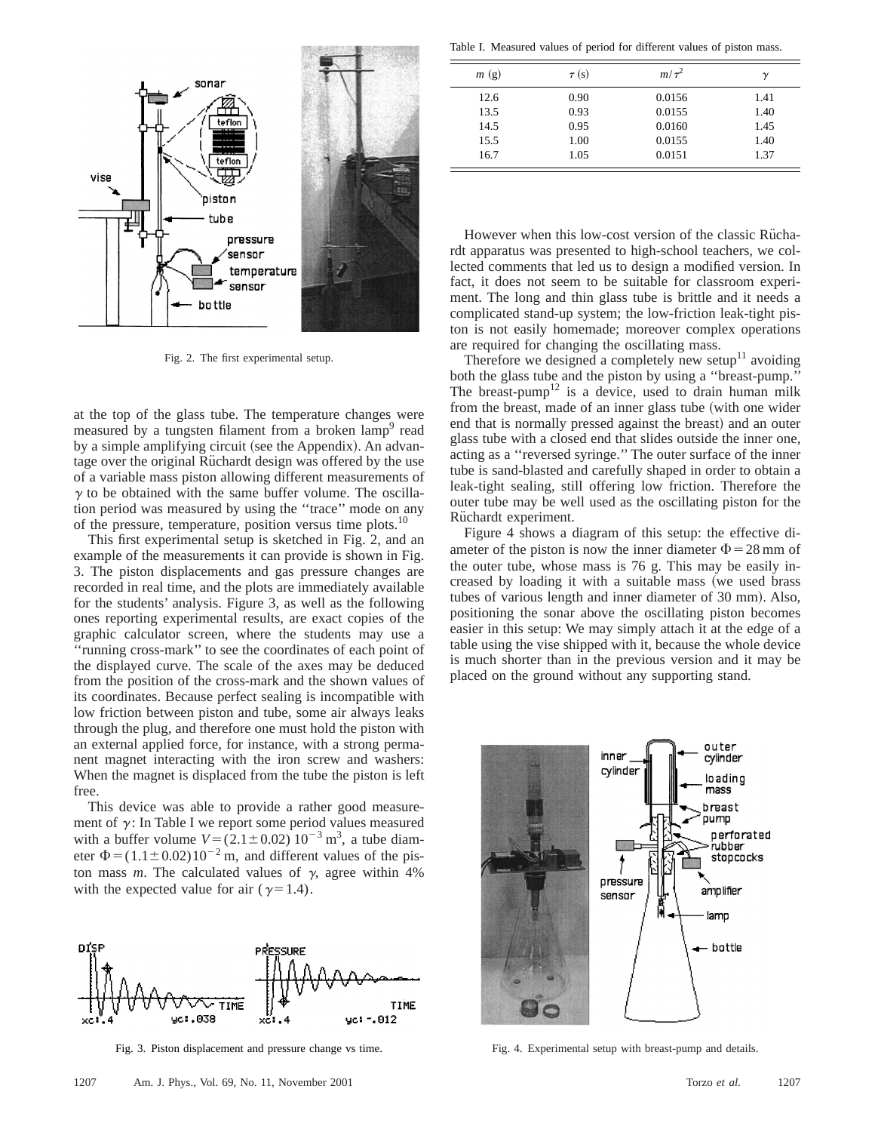

Fig. 2. The first experimental setup.

at the top of the glass tube. The temperature changes were measured by a tungsten filament from a broken lamp<sup>9</sup> read by a simple amplifying circuit (see the Appendix). An advantage over the original Rüchardt design was offered by the use of a variable mass piston allowing different measurements of  $\gamma$  to be obtained with the same buffer volume. The oscillation period was measured by using the ''trace'' mode on any of the pressure, temperature, position versus time plots.<sup>10</sup>

This first experimental setup is sketched in Fig. 2, and an example of the measurements it can provide is shown in Fig. 3. The piston displacements and gas pressure changes are recorded in real time, and the plots are immediately available for the students' analysis. Figure 3, as well as the following ones reporting experimental results, are exact copies of the graphic calculator screen, where the students may use a ''running cross-mark'' to see the coordinates of each point of the displayed curve. The scale of the axes may be deduced from the position of the cross-mark and the shown values of its coordinates. Because perfect sealing is incompatible with low friction between piston and tube, some air always leaks through the plug, and therefore one must hold the piston with an external applied force, for instance, with a strong permanent magnet interacting with the iron screw and washers: When the magnet is displaced from the tube the piston is left free.

This device was able to provide a rather good measurement of  $\gamma$ : In Table I we report some period values measured with a buffer volume  $V = (2.1 \pm 0.02) 10^{-3}$  m<sup>3</sup>, a tube diameter  $\Phi = (1.1 \pm 0.02)10^{-2}$  m, and different values of the piston mass *m*. The calculated values of  $\gamma$ , agree within 4% with the expected value for air ( $\gamma=1.4$ ).



Fig. 3. Piston displacement and pressure change vs time.

| m(g) | $\tau(s)$ | $m/\tau^2$ | $\boldsymbol{\gamma}$ |
|------|-----------|------------|-----------------------|
| 12.6 | 0.90      | 0.0156     | 1.41                  |
| 13.5 | 0.93      | 0.0155     | 1.40                  |
| 14.5 | 0.95      | 0.0160     | 1.45                  |
| 15.5 | 1.00      | 0.0155     | 1.40                  |
| 16.7 | 1.05      | 0.0151     | 1.37                  |

However when this low-cost version of the classic Rüchardt apparatus was presented to high-school teachers, we collected comments that led us to design a modified version. In fact, it does not seem to be suitable for classroom experiment. The long and thin glass tube is brittle and it needs a complicated stand-up system; the low-friction leak-tight piston is not easily homemade; moreover complex operations are required for changing the oscillating mass.

Therefore we designed a completely new setup $11$  avoiding both the glass tube and the piston by using a ''breast-pump.'' The breast-pump<sup>12</sup> is a device, used to drain human milk from the breast, made of an inner glass tube (with one wider end that is normally pressed against the breast) and an outer glass tube with a closed end that slides outside the inner one, acting as a ''reversed syringe.'' The outer surface of the inner tube is sand-blasted and carefully shaped in order to obtain a leak-tight sealing, still offering low friction. Therefore the outer tube may be well used as the oscillating piston for the Rüchardt experiment.

Figure 4 shows a diagram of this setup: the effective diameter of the piston is now the inner diameter  $\Phi$  = 28 mm of the outer tube, whose mass is 76 g. This may be easily increased by loading it with a suitable mass (we used brass tubes of various length and inner diameter of 30 mm). Also, positioning the sonar above the oscillating piston becomes easier in this setup: We may simply attach it at the edge of a table using the vise shipped with it, because the whole device is much shorter than in the previous version and it may be placed on the ground without any supporting stand.



Fig. 4. Experimental setup with breast-pump and details.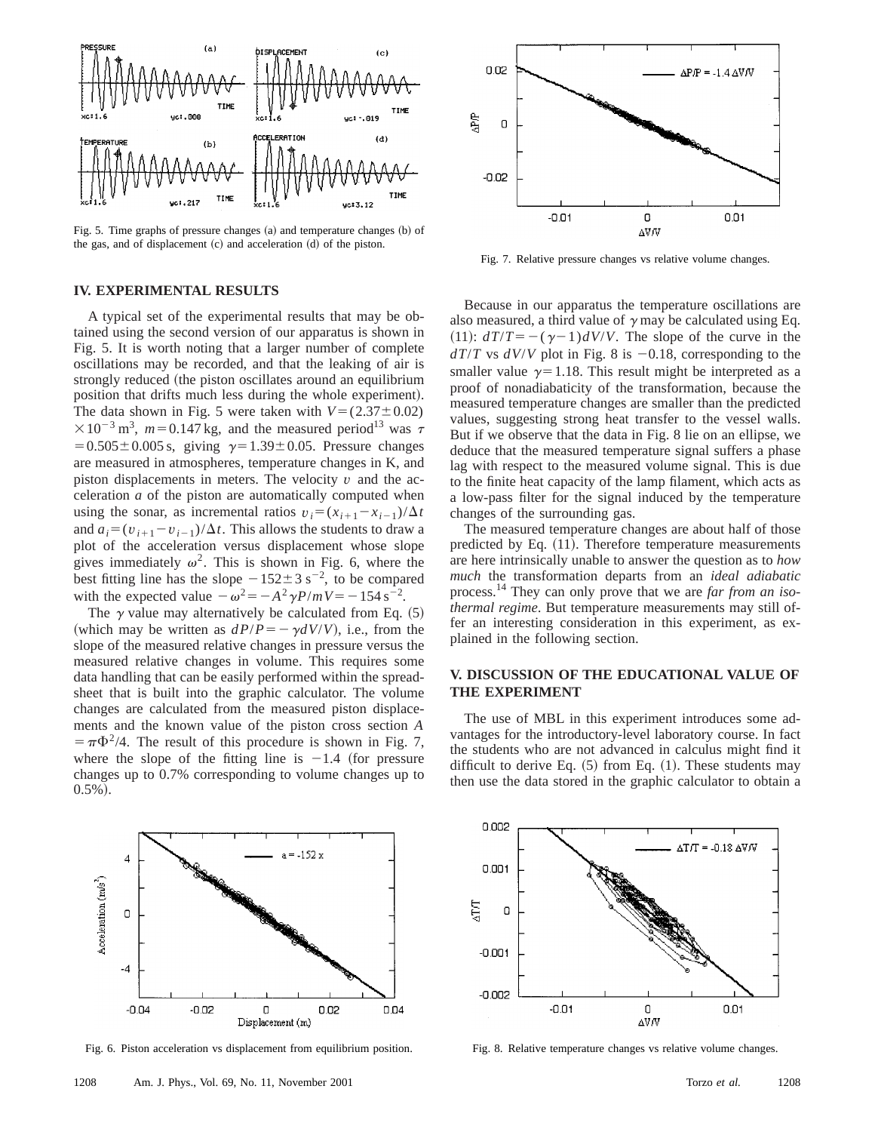

Fig. 5. Time graphs of pressure changes  $(a)$  and temperature changes  $(b)$  of the gas, and of displacement  $(c)$  and acceleration  $(d)$  of the piston.

### **IV. EXPERIMENTAL RESULTS**

A typical set of the experimental results that may be obtained using the second version of our apparatus is shown in Fig. 5. It is worth noting that a larger number of complete oscillations may be recorded, and that the leaking of air is strongly reduced (the piston oscillates around an equilibrium position that drifts much less during the whole experiment). The data shown in Fig. 5 were taken with  $V = (2.37 \pm 0.02)$  $\times 10^{-3}$  m<sup>3</sup>,  $m=0.147$  kg, and the measured period<sup>13</sup> was  $\tau$  $=0.505\pm0.005$  s, giving  $\gamma=1.39\pm0.05$ . Pressure changes are measured in atmospheres, temperature changes in K, and piston displacements in meters. The velocity  $v$  and the acceleration *a* of the piston are automatically computed when using the sonar, as incremental ratios  $v_i = (x_{i+1} - x_{i-1})/\Delta t$ and  $a_i = (v_{i+1} - v_{i-1})/\Delta t$ . This allows the students to draw a plot of the acceleration versus displacement whose slope gives immediately  $\omega^2$ . This is shown in Fig. 6, where the best fitting line has the slope  $-152 \pm 3$  s<sup>-2</sup>, to be compared with the expected value  $-\omega^2 = -A^2\gamma P/mV = -154 \text{ s}^{-2}$ .

The  $\gamma$  value may alternatively be calculated from Eq.  $(5)$ (which may be written as  $dP/P = -\gamma dV/V$ ), i.e., from the slope of the measured relative changes in pressure versus the measured relative changes in volume. This requires some data handling that can be easily performed within the spreadsheet that is built into the graphic calculator. The volume changes are calculated from the measured piston displacements and the known value of the piston cross section *A*  $= \pi \Phi^2/4$ . The result of this procedure is shown in Fig. 7, where the slope of the fitting line is  $-1.4$  (for pressure changes up to 0.7% corresponding to volume changes up to  $0.5\%$ ).



Fig. 6. Piston acceleration vs displacement from equilibrium position.



Fig. 7. Relative pressure changes vs relative volume changes.

Because in our apparatus the temperature oscillations are also measured, a third value of  $\gamma$  may be calculated using Eq. (11):  $dT/T = -(\gamma - 1)dV/V$ . The slope of the curve in the  $dT/T$  vs  $dV/V$  plot in Fig. 8 is  $-0.18$ , corresponding to the smaller value  $\gamma=1.18$ . This result might be interpreted as a proof of nonadiabaticity of the transformation, because the measured temperature changes are smaller than the predicted values, suggesting strong heat transfer to the vessel walls. But if we observe that the data in Fig. 8 lie on an ellipse, we deduce that the measured temperature signal suffers a phase lag with respect to the measured volume signal. This is due to the finite heat capacity of the lamp filament, which acts as a low-pass filter for the signal induced by the temperature changes of the surrounding gas.

The measured temperature changes are about half of those predicted by Eq.  $(11)$ . Therefore temperature measurements are here intrinsically unable to answer the question as to *how much* the transformation departs from an *ideal adiabatic* process.14 They can only prove that we are *far from an isothermal regime*. But temperature measurements may still offer an interesting consideration in this experiment, as explained in the following section.

## **V. DISCUSSION OF THE EDUCATIONAL VALUE OF THE EXPERIMENT**

The use of MBL in this experiment introduces some advantages for the introductory-level laboratory course. In fact the students who are not advanced in calculus might find it difficult to derive Eq.  $(5)$  from Eq.  $(1)$ . These students may then use the data stored in the graphic calculator to obtain a



Fig. 8. Relative temperature changes vs relative volume changes.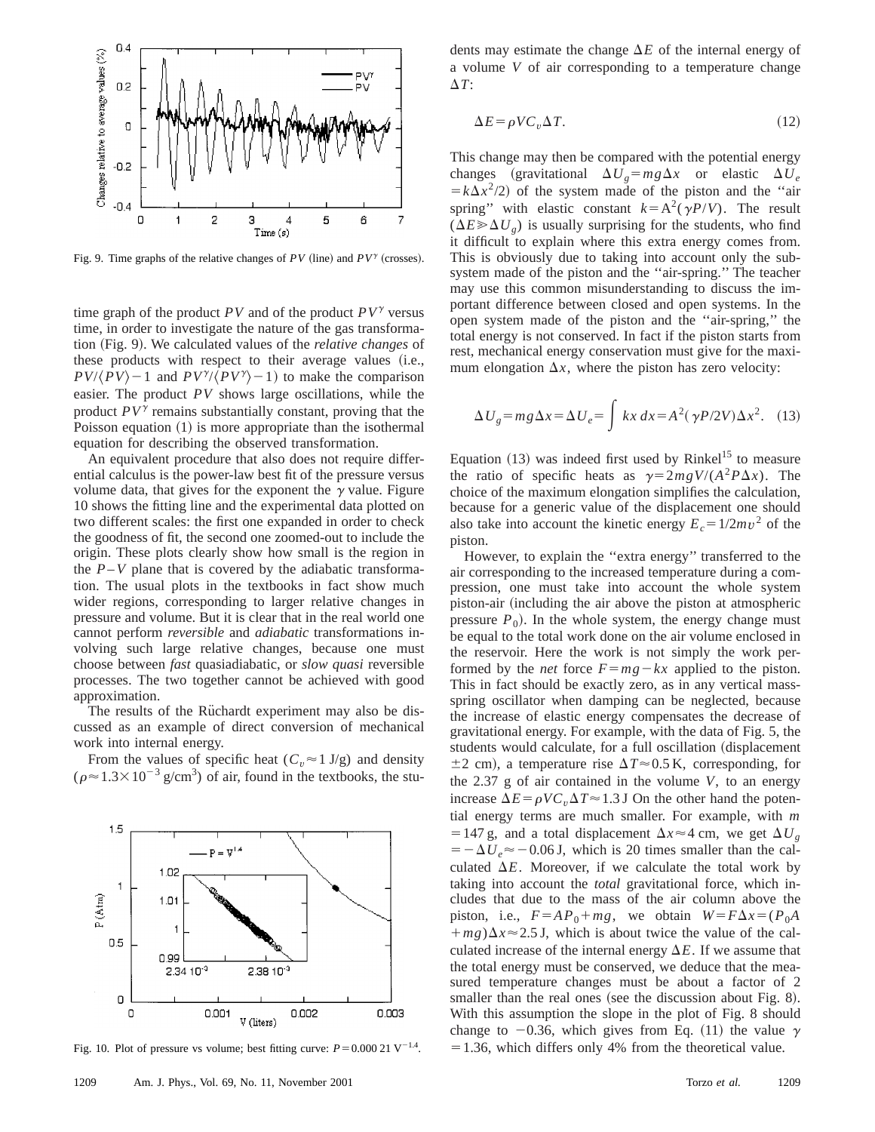

Fig. 9. Time graphs of the relative changes of  $PV$  (line) and  $PV^{\gamma}$  (crosses).

time graph of the product  $PV$  and of the product  $PV^{\gamma}$  versus time, in order to investigate the nature of the gas transformation (Fig. 9). We calculated values of the *relative changes* of these products with respect to their average values (i.e.,  $PV/(PV) - 1$  and  $PV^{\gamma}/(PV^{\gamma}) - 1$  to make the comparison easier. The product *PV* shows large oscillations, while the product  $PV^{\gamma}$  remains substantially constant, proving that the Poisson equation  $(1)$  is more appropriate than the isothermal equation for describing the observed transformation.

An equivalent procedure that also does not require differential calculus is the power-law best fit of the pressure versus volume data, that gives for the exponent the  $\gamma$  value. Figure 10 shows the fitting line and the experimental data plotted on two different scales: the first one expanded in order to check the goodness of fit, the second one zoomed-out to include the origin. These plots clearly show how small is the region in the  $P-V$  plane that is covered by the adiabatic transformation. The usual plots in the textbooks in fact show much wider regions, corresponding to larger relative changes in pressure and volume. But it is clear that in the real world one cannot perform *reversible* and *adiabatic* transformations involving such large relative changes, because one must choose between *fast* quasiadiabatic, or *slow quasi* reversible processes. The two together cannot be achieved with good approximation.

The results of the Rüchardt experiment may also be discussed as an example of direct conversion of mechanical work into internal energy.

From the values of specific heat ( $C_v \approx 1$  J/g) and density  $(\rho \approx 1.3 \times 10^{-3} \text{ g/cm}^3)$  of air, found in the textbooks, the stu-



Fig. 10. Plot of pressure vs volume; best fitting curve:  $P=0.000 21 \text{ V}^{-1.4}$ .

dents may estimate the change  $\Delta E$  of the internal energy of a volume *V* of air corresponding to a temperature change  $\Delta T$ :

$$
\Delta E = \rho V C_v \Delta T. \tag{12}
$$

This change may then be compared with the potential energy changes (gravitational  $\Delta U_g = mg\Delta x$  or elastic  $\Delta U_e$  $= k\Delta x^2/2$  of the system made of the piston and the "air spring" with elastic constant  $k=A^2(\gamma P/V)$ . The result  $(\Delta E \gg \Delta U_g)$  is usually surprising for the students, who find it difficult to explain where this extra energy comes from. This is obviously due to taking into account only the subsystem made of the piston and the ''air-spring.'' The teacher may use this common misunderstanding to discuss the important difference between closed and open systems. In the open system made of the piston and the ''air-spring,'' the total energy is not conserved. In fact if the piston starts from rest, mechanical energy conservation must give for the maximum elongation  $\Delta x$ , where the piston has zero velocity:

$$
\Delta U_g = mg \Delta x = \Delta U_e = \int kx \, dx = A^2 (\gamma P / 2V) \Delta x^2. \quad (13)
$$

Equation  $(13)$  was indeed first used by Rinkel<sup>15</sup> to measure the ratio of specific heats as  $\gamma = 2mgV/(A^2P\Delta x)$ . The choice of the maximum elongation simplifies the calculation, because for a generic value of the displacement one should also take into account the kinetic energy  $E_c = 1/2mv^2$  of the piston.

However, to explain the ''extra energy'' transferred to the air corresponding to the increased temperature during a compression, one must take into account the whole system piston-air (including the air above the piston at atmospheric pressure  $P_0$ ). In the whole system, the energy change must be equal to the total work done on the air volume enclosed in the reservoir. Here the work is not simply the work performed by the *net* force  $F = mg - kx$  applied to the piston. This in fact should be exactly zero, as in any vertical massspring oscillator when damping can be neglected, because the increase of elastic energy compensates the decrease of gravitational energy. For example, with the data of Fig. 5, the students would calculate, for a full oscillation (displacement  $\pm$ 2 cm), a temperature rise  $\Delta T \approx 0.5$  K, corresponding, for the 2.37 g of air contained in the volume *V*, to an energy increase  $\Delta E = \rho V C_v \Delta T \approx 1.3$  J On the other hand the potential energy terms are much smaller. For example, with *m* = 147 g, and a total displacement  $\Delta x \approx 4$  cm, we get  $\Delta U_g$  $=-\Delta U_e \approx -0.06$  J, which is 20 times smaller than the calculated  $\Delta E$ . Moreover, if we calculate the total work by taking into account the *total* gravitational force, which includes that due to the mass of the air column above the piston, i.e.,  $F = AP_0 + mg$ , we obtain  $W = F\Delta x = (P_0A$  $+mg$ ) $\Delta x \approx 2.5$  J, which is about twice the value of the calculated increase of the internal energy  $\Delta E$ . If we assume that the total energy must be conserved, we deduce that the measured temperature changes must be about a factor of 2 smaller than the real ones (see the discussion about Fig. 8). With this assumption the slope in the plot of Fig. 8 should change to  $-0.36$ , which gives from Eq. (11) the value  $\gamma$  $=1.36$ , which differs only 4% from the theoretical value.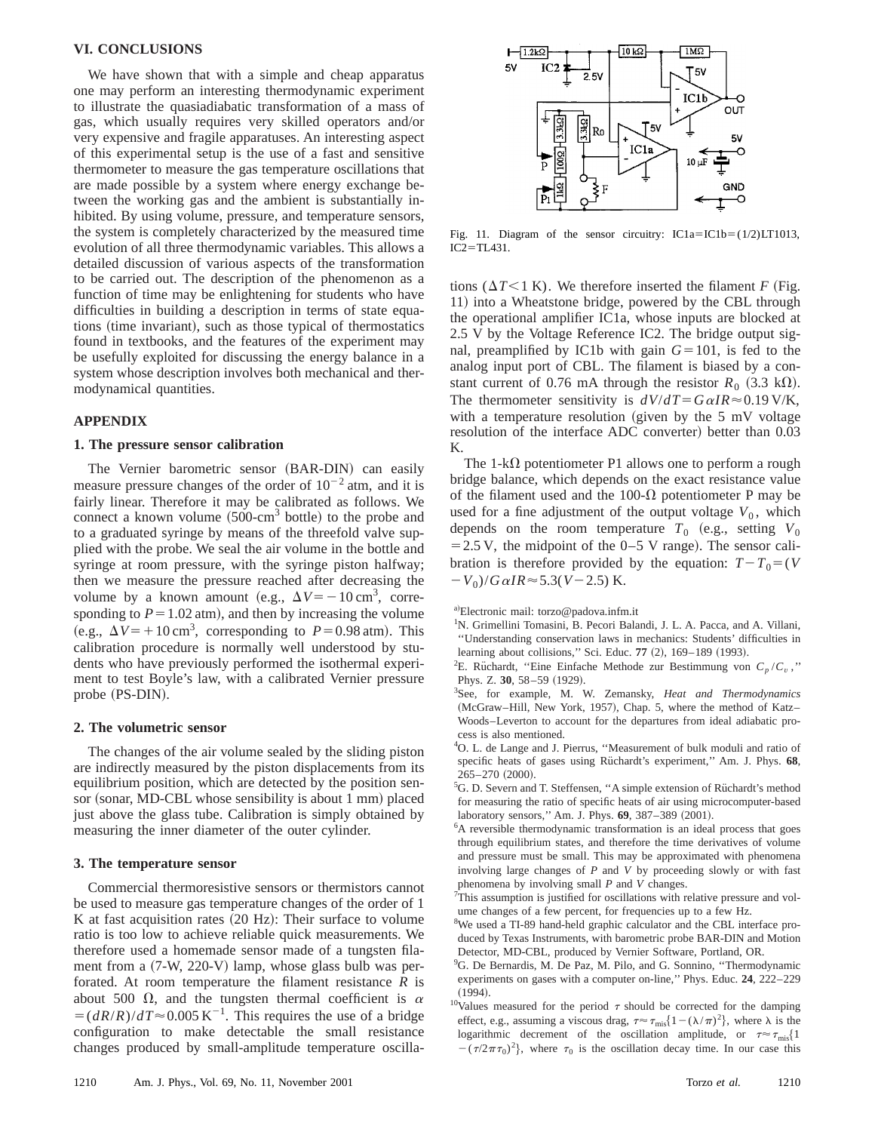## **VI. CONCLUSIONS**

We have shown that with a simple and cheap apparatus one may perform an interesting thermodynamic experiment to illustrate the quasiadiabatic transformation of a mass of gas, which usually requires very skilled operators and/or very expensive and fragile apparatuses. An interesting aspect of this experimental setup is the use of a fast and sensitive thermometer to measure the gas temperature oscillations that are made possible by a system where energy exchange between the working gas and the ambient is substantially inhibited. By using volume, pressure, and temperature sensors, the system is completely characterized by the measured time evolution of all three thermodynamic variables. This allows a detailed discussion of various aspects of the transformation to be carried out. The description of the phenomenon as a function of time may be enlightening for students who have difficulties in building a description in terms of state equations (time invariant), such as those typical of thermostatics found in textbooks, and the features of the experiment may be usefully exploited for discussing the energy balance in a system whose description involves both mechanical and thermodynamical quantities.

### **APPENDIX**

#### **1. The pressure sensor calibration**

The Vernier barometric sensor (BAR-DIN) can easily measure pressure changes of the order of  $10^{-2}$  atm, and it is fairly linear. Therefore it may be calibrated as follows. We connect a known volume  $(500\text{-cm}^3$  bottle) to the probe and to a graduated syringe by means of the threefold valve supplied with the probe. We seal the air volume in the bottle and syringe at room pressure, with the syringe piston halfway; then we measure the pressure reached after decreasing the volume by a known amount (e.g.,  $\Delta V = -10 \text{ cm}^3$ , corresponding to  $P = 1.02$  atm), and then by increasing the volume (e.g.,  $\Delta V = +10 \text{ cm}^3$ , corresponding to  $P = 0.98 \text{ atm}$ ). This calibration procedure is normally well understood by students who have previously performed the isothermal experiment to test Boyle's law, with a calibrated Vernier pressure probe (PS-DIN).

#### **2. The volumetric sensor**

The changes of the air volume sealed by the sliding piston are indirectly measured by the piston displacements from its equilibrium position, which are detected by the position sensor (sonar, MD-CBL whose sensibility is about 1 mm) placed just above the glass tube. Calibration is simply obtained by measuring the inner diameter of the outer cylinder.

#### **3. The temperature sensor**

Commercial thermoresistive sensors or thermistors cannot be used to measure gas temperature changes of the order of 1 K at fast acquisition rates  $(20 \text{ Hz})$ : Their surface to volume ratio is too low to achieve reliable quick measurements. We therefore used a homemade sensor made of a tungsten filament from a  $(7-W, 220-V)$  lamp, whose glass bulb was perforated. At room temperature the filament resistance *R* is about 500  $\Omega$ , and the tungsten thermal coefficient is  $\alpha$  $\epsilon = (dR/R)/dT \approx 0.005 \text{ K}^{-1}$ . This requires the use of a bridge configuration to make detectable the small resistance changes produced by small-amplitude temperature oscilla-



Fig. 11. Diagram of the sensor circuitry:  $IC1a=IC1b=(1/2)LT1013$ ,  $IC2 = TL431$ .

tions ( $\Delta T$ <1 K). We therefore inserted the filament *F* (Fig. 11) into a Wheatstone bridge, powered by the CBL through the operational amplifier IC1a, whose inputs are blocked at 2.5 V by the Voltage Reference IC2. The bridge output signal, preamplified by IC1b with gain  $G=101$ , is fed to the analog input port of CBL. The filament is biased by a constant current of 0.76 mA through the resistor  $R_0$  (3.3 kΩ). The thermometer sensitivity is  $dV/dT = G \alpha IR \approx 0.19 \text{ V/K}$ , with a temperature resolution (given by the  $5 \text{ mV}$  voltage resolution of the interface ADC converter) better than  $0.03$ K.

The 1-k $\Omega$  potentiometer P1 allows one to perform a rough bridge balance, which depends on the exact resistance value of the filament used and the 100- $\Omega$  potentiometer P may be used for a fine adjustment of the output voltage  $V_0$ , which depends on the room temperature  $T_0$  (e.g., setting  $V_0$  $=$  2.5 V, the midpoint of the 0–5 V range). The sensor calibration is therefore provided by the equation:  $T - T_0 = (V$  $-V_0$ )/*G*  $\alpha$ *IR* $\approx$  5.3(*V* – 2.5) K.

- <sup>1</sup>N. Grimellini Tomasini, B. Pecori Balandi, J. L. A. Pacca, and A. Villani, ''Understanding conservation laws in mechanics: Students' difficulties in learning about collisions," Sci. Educ. **77** (2), 169-189 (1993).
- <sup>2</sup>E. Rüchardt, "Eine Einfache Methode zur Bestimmung von  $C_p/C_v$ ," Phys. Z. 30, 58-59 (1929).
- 3 See, for example, M. W. Zemansky, *Heat and Thermodynamics* (McGraw–Hill, New York, 1957), Chap. 5, where the method of Katz– Woods–Leverton to account for the departures from ideal adiabatic process is also mentioned.
- 4 O. L. de Lange and J. Pierrus, ''Measurement of bulk moduli and ratio of specific heats of gases using Rüchardt's experiment," Am. J. Phys. 68,  $265 - 270$   $(2000)$ .
- <sup>5</sup>G. D. Severn and T. Steffensen, "A simple extension of Rüchardt's method for measuring the ratio of specific heats of air using microcomputer-based laboratory sensors," Am. J. Phys. 69, 387-389 (2001).
- <sup>6</sup>A reversible thermodynamic transformation is an ideal process that goes through equilibrium states, and therefore the time derivatives of volume and pressure must be small. This may be approximated with phenomena involving large changes of *P* and *V* by proceeding slowly or with fast phenomena by involving small *P* and *V* changes.
- <sup>7</sup>This assumption is justified for oscillations with relative pressure and volume changes of a few percent, for frequencies up to a few Hz.
- <sup>8</sup>We used a TI-89 hand-held graphic calculator and the CBL interface produced by Texas Instruments, with barometric probe BAR-DIN and Motion Detector, MD-CBL, produced by Vernier Software, Portland, OR.
- <sup>9</sup>G. De Bernardis, M. De Paz, M. Pilo, and G. Sonnino, "Thermodynamic experiments on gases with a computer on-line,'' Phys. Educ. **24**, 222–229  $(1994).$
- <sup>10</sup>Values measured for the period  $\tau$  should be corrected for the damping effect, e.g., assuming a viscous drag,  $\tau \approx \tau_{\text{mis}} \{1 - (\lambda/\pi)^2\}$ , where  $\lambda$  is the logarithmic decrement of the oscillation amplitude, or  $\tau \approx \tau_{\text{mis}}\{1\}$  $-(\tau/2\pi\tau_0)^2$ , where  $\tau_0$  is the oscillation decay time. In our case this

a)Electronic mail: torzo@padova.infm.it